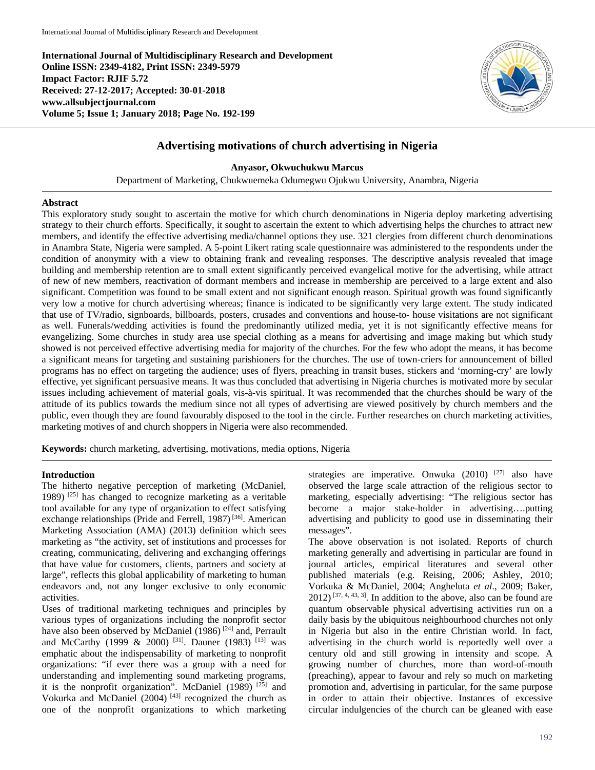**International Journal of Multidisciplinary Research and Development Online ISSN: 2349-4182, Print ISSN: 2349-5979 Impact Factor: RJIF 5.72 Received: 27-12-2017; Accepted: 30-01-2018 www.allsubjectjournal.com Volume 5; Issue 1; January 2018; Page No. 192-199**



# **Advertising motivations of church advertising in Nigeria**

**Anyasor, Okwuchukwu Marcus**

Department of Marketing, Chukwuemeka Odumegwu Ojukwu University, Anambra, Nigeria

### **Abstract**

This exploratory study sought to ascertain the motive for which church denominations in Nigeria deploy marketing advertising strategy to their church efforts. Specifically, it sought to ascertain the extent to which advertising helps the churches to attract new members, and identify the effective advertising media/channel options they use. 321 clergies from different church denominations in Anambra State, Nigeria were sampled. A 5-point Likert rating scale questionnaire was administered to the respondents under the condition of anonymity with a view to obtaining frank and revealing responses. The descriptive analysis revealed that image building and membership retention are to small extent significantly perceived evangelical motive for the advertising, while attract of new of new members, reactivation of dormant members and increase in membership are perceived to a large extent and also significant. Competition was found to be small extent and not significant enough reason. Spiritual growth was found significantly very low a motive for church advertising whereas; finance is indicated to be significantly very large extent. The study indicated that use of TV/radio, signboards, billboards, posters, crusades and conventions and house-to- house visitations are not significant as well. Funerals/wedding activities is found the predominantly utilized media, yet it is not significantly effective means for evangelizing. Some churches in study area use special clothing as a means for advertising and image making but which study showed is not perceived effective advertising media for majority of the churches. For the few who adopt the means, it has become a significant means for targeting and sustaining parishioners for the churches. The use of town-criers for announcement of billed programs has no effect on targeting the audience; uses of flyers, preaching in transit buses, stickers and 'morning-cry' are lowly effective, yet significant persuasive means. It was thus concluded that advertising in Nigeria churches is motivated more by secular issues including achievement of material goals, vis-à-vis spiritual. It was recommended that the churches should be wary of the attitude of its publics towards the medium since not all types of advertising are viewed positively by church members and the public, even though they are found favourably disposed to the tool in the circle. Further researches on church marketing activities, marketing motives of and church shoppers in Nigeria were also recommended.

**Keywords:** church marketing, advertising, motivations, media options, Nigeria

#### **Introduction**

The hitherto negative perception of marketing (McDaniel, 1989) [25] has changed to recognize marketing as a veritable tool available for any type of organization to effect satisfying exchange relationships (Pride and Ferrell, 1987)<sup>[36]</sup>. American Marketing Association (AMA) (2013) definition which sees marketing as "the activity, set of institutions and processes for creating, communicating, delivering and exchanging offerings that have value for customers, clients, partners and society at large", reflects this global applicability of marketing to human endeavors and, not any longer exclusive to only economic activities.

Uses of traditional marketing techniques and principles by various types of organizations including the nonprofit sector have also been observed by McDaniel (1986)<sup>[24]</sup> and, Perrault and McCarthy (1999 & 2000)<sup>[31]</sup>. Dauner (1983)<sup>[13]</sup> was emphatic about the indispensability of marketing to nonprofit organizations: "if ever there was a group with a need for understanding and implementing sound marketing programs, it is the nonprofit organization". McDaniel (1989) [25] and Vokurka and McDaniel (2004) [43] recognized the church as one of the nonprofit organizations to which marketing strategies are imperative. Onwuka  $(2010)$  <sup>[27]</sup> also have observed the large scale attraction of the religious sector to marketing, especially advertising: "The religious sector has become a major stake-holder in advertising….putting advertising and publicity to good use in disseminating their messages".

The above observation is not isolated. Reports of church marketing generally and advertising in particular are found in journal articles, empirical literatures and several other published materials (e.g. Reising, 2006; Ashley, 2010; Vorkuka & McDaniel, 2004; Angheluta *et al*., 2009; Baker,  $2012$ <sup>[37, 4, 43, 3]</sup>. In addition to the above, also can be found are quantum observable physical advertising activities run on a daily basis by the ubiquitous neighbourhood churches not only in Nigeria but also in the entire Christian world. In fact, advertising in the church world is reportedly well over a century old and still growing in intensity and scope. A growing number of churches, more than word-of-mouth (preaching), appear to favour and rely so much on marketing promotion and, advertising in particular, for the same purpose in order to attain their objective. Instances of excessive circular indulgencies of the church can be gleaned with ease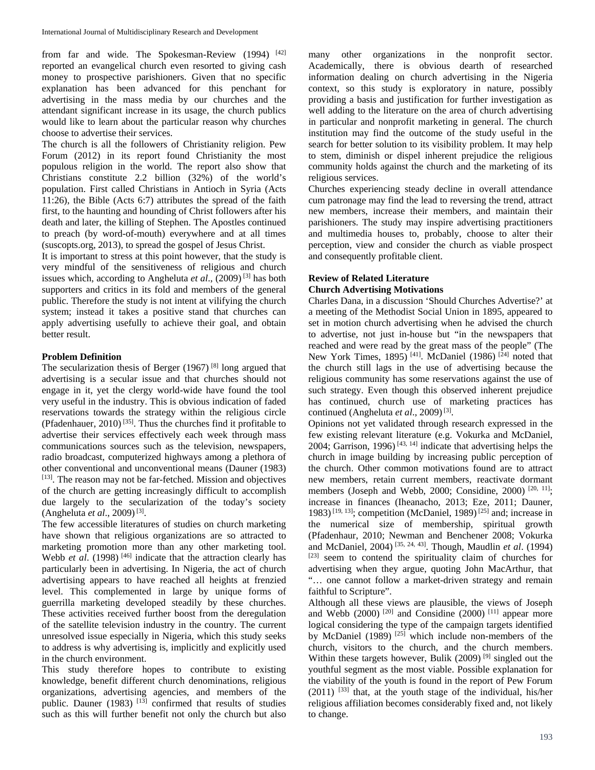from far and wide. The Spokesman-Review (1994) [42] reported an evangelical church even resorted to giving cash money to prospective parishioners. Given that no specific explanation has been advanced for this penchant for advertising in the mass media by our churches and the attendant significant increase in its usage, the church publics would like to learn about the particular reason why churches choose to advertise their services.

The church is all the followers of Christianity religion. Pew Forum (2012) in its report found Christianity the most populous religion in the world. The report also show that Christians constitute 2.2 billion (32%) of the world's population. First called Christians in Antioch in Syria (Acts 11:26), the Bible (Acts 6:7) attributes the spread of the faith first, to the haunting and hounding of Christ followers after his death and later, the killing of Stephen. The Apostles continued to preach (by word-of-mouth) everywhere and at all times (suscopts.org, 2013), to spread the gospel of Jesus Christ.

It is important to stress at this point however, that the study is very mindful of the sensitiveness of religious and church issues which, according to Angheluta *et al*., (2009) [3] has both supporters and critics in its fold and members of the general public. Therefore the study is not intent at vilifying the church system; instead it takes a positive stand that churches can apply advertising usefully to achieve their goal, and obtain better result.

#### **Problem Definition**

The secularization thesis of Berger  $(1967)$ <sup>[8]</sup> long argued that advertising is a secular issue and that churches should not engage in it, yet the clergy world-wide have found the tool very useful in the industry. This is obvious indication of faded reservations towards the strategy within the religious circle (Pfadenhauer,  $2010$ )<sup>[35]</sup>. Thus the churches find it profitable to advertise their services effectively each week through mass communications sources such as the television, newspapers, radio broadcast, computerized highways among a plethora of other conventional and unconventional means (Dauner (1983) [13]. The reason may not be far-fetched. Mission and objectives of the church are getting increasingly difficult to accomplish due largely to the secularization of the today's society (Angheluta *et al.*, 2009)<sup>[3]</sup>.

The few accessible literatures of studies on church marketing have shown that religious organizations are so attracted to marketing promotion more than any other marketing tool. Webb *et al.* (1998)<sup>[46]</sup> indicate that the attraction clearly has particularly been in advertising. In Nigeria, the act of church advertising appears to have reached all heights at frenzied level. This complemented in large by unique forms of guerrilla marketing developed steadily by these churches. These activities received further boost from the deregulation of the satellite television industry in the country. The current unresolved issue especially in Nigeria, which this study seeks to address is why advertising is, implicitly and explicitly used in the church environment.

This study therefore hopes to contribute to existing knowledge, benefit different church denominations, religious organizations, advertising agencies, and members of the public. Dauner (1983)  $^{[13]}$  confirmed that results of studies such as this will further benefit not only the church but also

many other organizations in the nonprofit sector. Academically, there is obvious dearth of researched information dealing on church advertising in the Nigeria context, so this study is exploratory in nature, possibly providing a basis and justification for further investigation as well adding to the literature on the area of church advertising in particular and nonprofit marketing in general. The church institution may find the outcome of the study useful in the search for better solution to its visibility problem. It may help to stem, diminish or dispel inherent prejudice the religious community holds against the church and the marketing of its religious services.

Churches experiencing steady decline in overall attendance cum patronage may find the lead to reversing the trend, attract new members, increase their members, and maintain their parishioners. The study may inspire advertising practitioners and multimedia houses to, probably, choose to alter their perception, view and consider the church as viable prospect and consequently profitable client.

# **Review of Related Literature Church Advertising Motivations**

Charles Dana, in a discussion 'Should Churches Advertise?' at a meeting of the Methodist Social Union in 1895, appeared to set in motion church advertising when he advised the church to advertise, not just in-house but "in the newspapers that reached and were read by the great mass of the people" (The New York Times, 1895)<sup>[41]</sup>. McDaniel (1986)<sup>[24]</sup> noted that the church still lags in the use of advertising because the religious community has some reservations against the use of such strategy. Even though this observed inherent prejudice has continued, church use of marketing practices has continued (Angheluta et al., 2009)<sup>[3]</sup>.

Opinions not yet validated through research expressed in the few existing relevant literature (e.g. Vokurka and McDaniel, 2004; Garrison, 1996)<sup> $[43, 14]$ </sup> indicate that advertising helps the church in image building by increasing public perception of the church. Other common motivations found are to attract new members, retain current members, reactivate dormant members (Joseph and Webb, 2000; Considine, 2000) [20, 11]; increase in finances (Iheanacho, 2013; Eze, 2011; Dauner, 1983)<sup>[19, 13]</sup>; competition (McDaniel, 1989)<sup>[25]</sup> and; increase in the numerical size of membership, spiritual growth (Pfadenhaur, 2010; Newman and Benchener 2008; Vokurka and McDaniel, 2004) [35, 24, 43]. Though, Maudlin *et al*. (1994) [23] seem to contend the spirituality claim of churches for advertising when they argue, quoting John MacArthur, that "… one cannot follow a market-driven strategy and remain faithful to Scripture".

Although all these views are plausible, the views of Joseph and Webb (2000)  $[20]$  and Considine (2000)  $[11]$  appear more logical considering the type of the campaign targets identified by McDaniel (1989)  $^{[25]}$  which include non-members of the church, visitors to the church, and the church members. Within these targets however, Bulik  $(2009)$ <sup>[9]</sup> singled out the youthful segment as the most viable. Possible explanation for the viability of the youth is found in the report of Pew Forum  $(2011)$  <sup>[33]</sup> that, at the youth stage of the individual, his/her religious affiliation becomes considerably fixed and, not likely to change.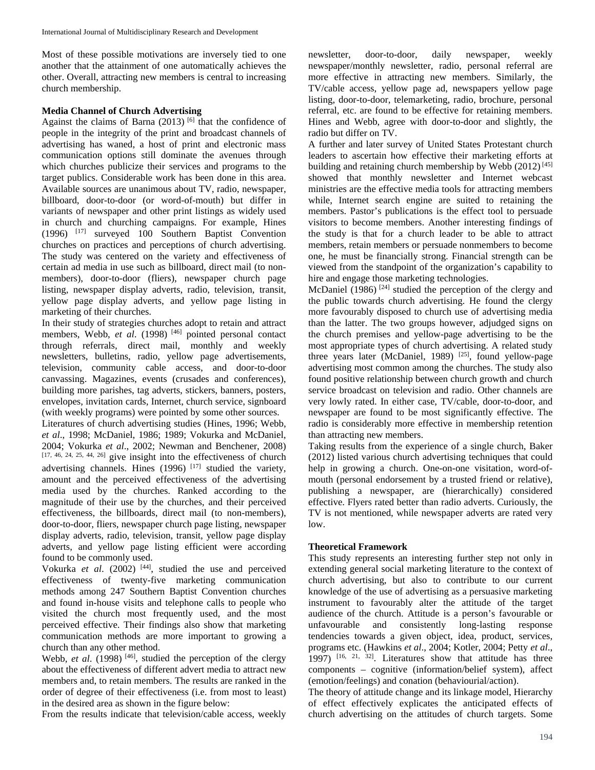Most of these possible motivations are inversely tied to one another that the attainment of one automatically achieves the other. Overall, attracting new members is central to increasing church membership.

### **Media Channel of Church Advertising**

Against the claims of Barna  $(2013)$  [6] that the confidence of people in the integrity of the print and broadcast channels of advertising has waned, a host of print and electronic mass communication options still dominate the avenues through which churches publicize their services and programs to the target publics. Considerable work has been done in this area. Available sources are unanimous about TV, radio, newspaper, billboard, door-to-door (or word-of-mouth) but differ in variants of newspaper and other print listings as widely used in church and churching campaigns. For example, Hines (1996) [17] surveyed 100 Southern Baptist Convention churches on practices and perceptions of church advertising. The study was centered on the variety and effectiveness of certain ad media in use such as billboard, direct mail (to nonmembers), door-to-door (fliers), newspaper church page listing, newspaper display adverts, radio, television, transit, yellow page display adverts, and yellow page listing in marketing of their churches.

In their study of strategies churches adopt to retain and attract members, Webb, *et al.* (1998)<sup>[46]</sup> pointed personal contact through referrals, direct mail, monthly and weekly newsletters, bulletins, radio, yellow page advertisements, television, community cable access, and door-to-door canvassing. Magazines, events (crusades and conferences), building more parishes, tag adverts, stickers, banners, posters, envelopes, invitation cards, Internet, church service, signboard (with weekly programs) were pointed by some other sources.

Literatures of church advertising studies (Hines, 1996; Webb, *et al*., 1998; McDaniel, 1986; 1989; Vokurka and McDaniel, 2004; Vokurka *et al*., 2002; Newman and Benchener, 2008)  $[17, 46, 24, 25, 44, 26]$  give insight into the effectiveness of church advertising channels. Hines  $(1996)$  <sup>[17]</sup> studied the variety, amount and the perceived effectiveness of the advertising media used by the churches. Ranked according to the magnitude of their use by the churches, and their perceived effectiveness, the billboards, direct mail (to non-members), door-to-door, fliers, newspaper church page listing, newspaper display adverts, radio, television, transit, yellow page display adverts, and yellow page listing efficient were according found to be commonly used.

Vokurka *et al*. (2002) [44], studied the use and perceived effectiveness of twenty-five marketing communication methods among 247 Southern Baptist Convention churches and found in-house visits and telephone calls to people who visited the church most frequently used, and the most perceived effective. Their findings also show that marketing communication methods are more important to growing a church than any other method.

Webb, *et al.* (1998)<sup>[46]</sup>, studied the perception of the clergy about the effectiveness of different advert media to attract new members and, to retain members. The results are ranked in the order of degree of their effectiveness (i.e. from most to least) in the desired area as shown in the figure below:

From the results indicate that television/cable access, weekly

newsletter, door-to-door, daily newspaper, weekly newspaper/monthly newsletter, radio, personal referral are more effective in attracting new members. Similarly, the TV/cable access, yellow page ad, newspapers yellow page listing, door-to-door, telemarketing, radio, brochure, personal referral, etc. are found to be effective for retaining members. Hines and Webb, agree with door-to-door and slightly, the radio but differ on TV.

A further and later survey of United States Protestant church leaders to ascertain how effective their marketing efforts at building and retaining church membership by Webb  $(2012)$ <sup>[45]</sup> showed that monthly newsletter and Internet webcast ministries are the effective media tools for attracting members while, Internet search engine are suited to retaining the members. Pastor's publications is the effect tool to persuade visitors to become members. Another interesting findings of the study is that for a church leader to be able to attract members, retain members or persuade nonmembers to become one, he must be financially strong. Financial strength can be viewed from the standpoint of the organization's capability to hire and engage those marketing technologies.

McDaniel (1986)<sup>[24]</sup> studied the perception of the clergy and the public towards church advertising. He found the clergy more favourably disposed to church use of advertising media than the latter. The two groups however, adjudged signs on the church premises and yellow-page advertising to be the most appropriate types of church advertising. A related study three years later (McDaniel, 1989)  $[25]$ , found yellow-page advertising most common among the churches. The study also found positive relationship between church growth and church service broadcast on television and radio. Other channels are very lowly rated. In either case, TV/cable, door-to-door, and newspaper are found to be most significantly effective. The radio is considerably more effective in membership retention than attracting new members.

Taking results from the experience of a single church, Baker (2012) listed various church advertising techniques that could help in growing a church. One-on-one visitation, word-ofmouth (personal endorsement by a trusted friend or relative), publishing a newspaper, are (hierarchically) considered effective. Flyers rated better than radio adverts. Curiously, the TV is not mentioned, while newspaper adverts are rated very  $\log$ 

# **Theoretical Framework**

This study represents an interesting further step not only in extending general social marketing literature to the context of church advertising, but also to contribute to our current knowledge of the use of advertising as a persuasive marketing instrument to favourably alter the attitude of the target audience of the church. Attitude is a person's favourable or unfavourable and consistently long-lasting response tendencies towards a given object, idea, product, services, programs etc. (Hawkins *et al*., 2004; Kotler, 2004; Petty *et al*., 1997)  $[16, 21, 32]$ . Literatures show that attitude has three components – cognitive (information/belief system), affect (emotion/feelings) and conation (behaviourial/action).

The theory of attitude change and its linkage model, Hierarchy of effect effectively explicates the anticipated effects of church advertising on the attitudes of church targets. Some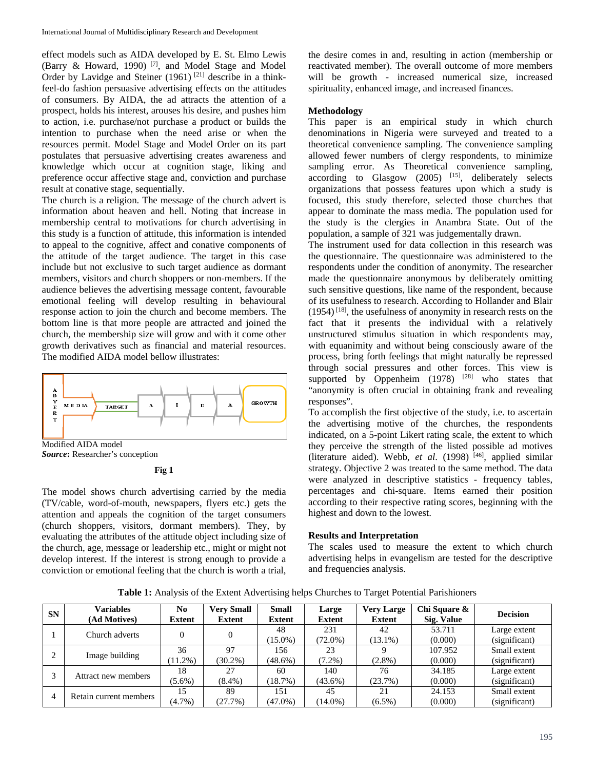effect models such as AIDA developed by E. St. Elmo Lewis (Barry & Howard, 1990) [7], and Model Stage and Model Order by Lavidge and Steiner  $(1961)$ <sup>[21]</sup> describe in a thinkfeel-do fashion persuasive advertising effects on the attitudes of consumers. By AIDA, the ad attracts the attention of a prospect, holds his interest, arouses his desire, and pushes him to action, i.e. purchase/not purchase a product or builds the intention to purchase when the need arise or when the resources permit. Model Stage and Model Order on its part postulates that persuasive advertising creates awareness and knowledge which occur at cognition stage, liking and preference occur affective stage and, conviction and purchase result at conative stage, sequentially.

The church is a religion. The message of the church advert is information about heaven and hell. Noting that **i**ncrease in membership central to motivations for church advertising in this study is a function of attitude, this information is intended to appeal to the cognitive, affect and conative components of the attitude of the target audience. The target in this case include but not exclusive to such target audience as dormant members, visitors and church shoppers or non-members. If the audience believes the advertising message content, favourable emotional feeling will develop resulting in behavioural response action to join the church and become members. The bottom line is that more people are attracted and joined the church, the membership size will grow and with it come other growth derivatives such as financial and material resources. The modified AIDA model bellow illustrates:



Modified AIDA model *Source***:** Researcher's conception

**Fig 1**

The model shows church advertising carried by the media (TV/cable, word-of-mouth, newspapers, flyers etc.) gets the attention and appeals the cognition of the target consumers (church shoppers, visitors, dormant members). They, by evaluating the attributes of the attitude object including size of the church, age, message or leadership etc., might or might not develop interest. If the interest is strong enough to provide a conviction or emotional feeling that the church is worth a trial,

the desire comes in and, resulting in action (membership or reactivated member). The overall outcome of more members will be growth - increased numerical size, increased spirituality, enhanced image, and increased finances.

### **Methodology**

This paper is an empirical study in which church denominations in Nigeria were surveyed and treated to a theoretical convenience sampling. The convenience sampling allowed fewer numbers of clergy respondents, to minimize sampling error. As Theoretical convenience sampling, according to Glasgow (2005) <sup>[15]</sup>, deliberately selects organizations that possess features upon which a study is focused, this study therefore, selected those churches that appear to dominate the mass media. The population used for the study is the clergies in Anambra State. Out of the population, a sample of 321 was judgementally drawn.

The instrument used for data collection in this research was the questionnaire. The questionnaire was administered to the respondents under the condition of anonymity. The researcher made the questionnaire anonymous by deliberately omitting such sensitive questions, like name of the respondent, because of its usefulness to research. According to Hollander and Blair  $(1954)$ <sup>[18]</sup>, the usefulness of anonymity in research rests on the fact that it presents the individual with a relatively unstructured stimulus situation in which respondents may, with equanimity and without being consciously aware of the process, bring forth feelings that might naturally be repressed through social pressures and other forces. This view is supported by Oppenheim  $(1978)$  <sup>[28]</sup> who states that "anonymity is often crucial in obtaining frank and revealing responses".

To accomplish the first objective of the study, i.e. to ascertain the advertising motive of the churches, the respondents indicated, on a 5-point Likert rating scale, the extent to which they perceive the strength of the listed possible ad motives (literature aided). Webb, *et al*. (1998) [46], applied similar strategy. Objective 2 was treated to the same method. The data were analyzed in descriptive statistics - frequency tables, percentages and chi-square. Items earned their position according to their respective rating scores, beginning with the highest and down to the lowest.

# **Results and Interpretation**

The scales used to measure the extent to which church advertising helps in evangelism are tested for the descriptive and frequencies analysis.

**Table 1:** Analysis of the Extent Advertising helps Churches to Target Potential Parishioners

| <b>SN</b> | <b>Variables</b><br>(Ad Motives) | N <sub>0</sub><br>Extent | <b>Very Small</b><br><b>Extent</b> | <b>Small</b><br><b>Extent</b> | Large<br><b>Extent</b> | <b>Very Large</b><br><b>Extent</b> | Chi Square &<br>Sig. Value | <b>Decision</b> |
|-----------|----------------------------------|--------------------------|------------------------------------|-------------------------------|------------------------|------------------------------------|----------------------------|-----------------|
|           | Church adverts                   |                          |                                    | 48                            | 231                    | 42                                 | 53.711                     | Large extent    |
|           |                                  |                          |                                    | $(15.0\%)$                    | $72.0\%$ )             | $(13.1\%)$                         | (0.000)                    | (significant)   |
|           | Image building                   | 36                       | 97                                 | 156                           | 23                     | Q                                  | 107.952                    | Small extent    |
|           |                                  | $11.2\%$ )               | $(30.2\%)$                         | $(48.6\%)$                    | $7.2\%$ )              | $(2.8\%)$                          | (0.000)                    | (significant)   |
|           | Attract new members              | 18                       | 27                                 | 60                            | 140                    | 76                                 | 34.185                     | Large extent    |
|           |                                  | $(5.6\%)$                | $(8.4\%)$                          | (18.7%)                       | $(43.6\%)$             | (23.7%)                            | (0.000)                    | (significant)   |
| 4         | Retain current members           | 15                       | 89                                 | 151                           | 45                     | 21                                 | 24.153                     | Small extent    |
|           |                                  | $(4.7\%)$                | (27.7%)                            | $(47.0\%)$                    | $(14.0\%)$             | $(6.5\%)$                          | (0.000)                    | (significant)   |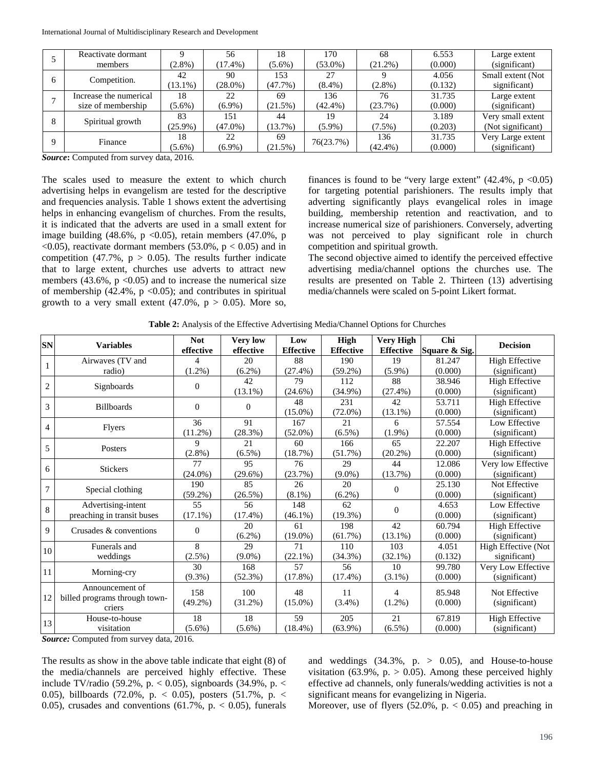|  | Reactivate dormant     |            | 56         | 18        | 170        | 68         | 6.553   | Large extent      |
|--|------------------------|------------|------------|-----------|------------|------------|---------|-------------------|
|  | members                | $(2.8\%)$  | $(17.4\%)$ | $(5.6\%)$ | $(53.0\%)$ | $(21.2\%)$ | (0.000) | (significant)     |
|  | Competition.           | 42         | 90         | 153       | 27         |            | 4.056   | Small extent (Not |
|  |                        | $13.1\%$ ) | $(28.0\%)$ | (47.7%)   | $(8.4\%)$  | $(2.8\%)$  | (0.132) | significant)      |
|  | Increase the numerical | 18         | 22         | 69        | 136        | 76         | 31.735  | Large extent      |
|  | size of membership     | $(5.6\%)$  | $(6.9\%)$  | (21.5%)   | $(42.4\%)$ | (23.7%)    | (0.000) | (significant)     |
|  | Spiritual growth       | 83         | 151        | 44        | 19         | 24         | 3.189   | Very small extent |
|  |                        | $(25.9\%)$ | $(47.0\%)$ | (13.7%)   | $(5.9\%)$  | $(7.5\%)$  | (0.203) | (Not significant) |
|  | Finance                | 18         | 22         | 69        | 76(23.7%)  | 136        | 31.735  | Very Large extent |
|  |                        | $(5.6\%)$  | $(6.9\%)$  | (21.5%)   |            | $(42.4\%)$ | (0.000) | (significant)     |

*Source***:** Computed from survey data, 2016.

The scales used to measure the extent to which church advertising helps in evangelism are tested for the descriptive and frequencies analysis. Table 1 shows extent the advertising helps in enhancing evangelism of churches. From the results, it is indicated that the adverts are used in a small extent for image building  $(48.6\%, p < 0.05)$ , retain members  $(47.0\%, p$  $\langle 0.05 \rangle$ , reactivate dormant members (53.0%,  $p < 0.05$ ) and in competition (47.7%,  $p > 0.05$ ). The results further indicate that to large extent, churches use adverts to attract new members (43.6%,  $p \le 0.05$ ) and to increase the numerical size of membership  $(42.4\%, p < 0.05)$ ; and contributes in spiritual growth to a very small extent  $(47.0\%, p > 0.05)$ . More so, finances is found to be "very large extent"  $(42.4\%, p < 0.05)$ for targeting potential parishioners. The results imply that adverting significantly plays evangelical roles in image building, membership retention and reactivation, and to increase numerical size of parishioners. Conversely, adverting was not perceived to play significant role in church competition and spiritual growth.

The second objective aimed to identify the perceived effective advertising media/channel options the churches use. The results are presented on Table 2. Thirteen (13) advertising media/channels were scaled on 5-point Likert format.

| <b>SN</b>      | <b>Variables</b>                                 | <b>Not</b><br>effective | <b>Very low</b><br>effective | Low<br><b>Effective</b> | High<br><b>Effective</b> | <b>Very High</b><br><b>Effective</b> | Chi<br>Square & Sig. | <b>Decision</b>       |
|----------------|--------------------------------------------------|-------------------------|------------------------------|-------------------------|--------------------------|--------------------------------------|----------------------|-----------------------|
| $\mathbf{1}$   | Airwaves (TV and                                 | 4                       | 20                           | 88                      | 190                      | 19                                   | 81.247               | <b>High Effective</b> |
|                | radio)                                           | $(1.2\%)$               | $(6.2\%)$                    | $(27.4\%)$              | $(59.2\%)$               | $(5.9\%)$                            | (0.000)              | (significant)         |
| $\overline{2}$ | Signboards                                       | $\Omega$                | 42                           | 79                      | 112                      | 88                                   | 38.946               | <b>High Effective</b> |
|                |                                                  |                         | $(13.1\%)$                   | $(24.6\%)$              | $(34.9\%)$               | $(27.4\%)$                           | (0.000)              | (significant)         |
| 3              | <b>Billboards</b>                                | $\theta$                | $\theta$                     | 48                      | 231                      | 42                                   | 53.711               | <b>High Effective</b> |
|                |                                                  |                         |                              | $(15.0\%)$              | $(72.0\%)$               | $(13.1\%)$                           | (0.000)              | (significant)         |
| $\overline{4}$ | <b>Flyers</b>                                    | 36                      | 91                           | 167                     | 21                       | 6                                    | 57.554               | Low Effective         |
|                |                                                  | $(11.2\%)$              | $(28.3\%)$                   | $(52.0\%)$              | $(6.5\%)$                | $(1.9\%)$                            | (0.000)              | (significant)         |
| 5              | Posters                                          | 9                       | 21                           | 60                      | 166                      | 65                                   | 22.207               | <b>High Effective</b> |
|                |                                                  | $(2.8\%)$               | $(6.5\%)$                    | (18.7%)                 | $(51.7\%)$               | $(20.2\%)$                           | (0.000)              | (significant)         |
| 6              | <b>Stickers</b>                                  | 77                      | 95                           | 76                      | 29                       | 44                                   | 12.086               | Very low Effective    |
|                |                                                  | $(24.0\%)$              | $(29.6\%)$                   | (23.7%)                 | $(9.0\%)$                | (13.7%)                              | (0.000)              | (significant)         |
| $\overline{7}$ | Special clothing                                 | 190                     | 85                           | 26                      | 20                       | $\Omega$                             | 25.130               | Not Effective         |
|                |                                                  | $(59.2\%)$              | (26.5%)                      | $(8.1\%)$               | $(6.2\%)$                |                                      | (0.000)              | (significant)         |
|                | Advertising-intent                               | 55                      | 56                           | 148                     | 62                       | $\mathbf{0}$                         | 4.653                | Low Effective         |
| $8\,$          | preaching in transit buses                       | $(17.1\%)$              | $(17.4\%)$                   | $(46.1\%)$              | $(19.3\%)$               |                                      | (0.000)              | (significant)         |
| 9              | Crusades & conventions                           | $\Omega$                | 20                           | 61                      | 198                      | 42                                   | 60.794               | <b>High Effective</b> |
|                |                                                  |                         | $(6.2\%)$                    | $(19.0\%)$              | (61.7%)                  | $(13.1\%)$                           | (0.000)              | (significant)         |
| 10             | Funerals and                                     | 8                       | 29                           | 71                      | 110                      | 103                                  | 4.051                | High Effective (Not   |
|                | weddings                                         | (2.5%)                  | $(9.0\%)$                    | $(22.1\%)$              | $(34.3\%)$               | $(32.1\%)$                           | (0.132)              | significant)          |
| 11             | Morning-cry                                      | 30                      | 168                          | 57                      | 56                       | 10                                   | 99.780               | Very Low Effective    |
|                |                                                  | $(9.3\%)$               | $(52.3\%)$                   | $(17.8\%)$              | $(17.4\%)$               | $(3.1\%)$                            | (0.000)              | (significant)         |
| 12             | Announcement of<br>billed programs through town- | 158                     | 100                          | 48                      | 11                       | 4                                    | 85.948               | Not Effective         |
|                | criers                                           | $(49.2\%)$              | $(31.2\%)$                   | $(15.0\%)$              | $(3.4\%)$                | $(1.2\%)$                            | (0.000)              | (significant)         |
| 13             | House-to-house                                   | 18                      | 18                           | 59                      | 205                      | 21                                   | 67.819               | <b>High Effective</b> |
|                | visitation                                       | $(5.6\%)$               | $(5.6\%)$                    | $(18.4\%)$              | $(63.9\%)$               | $(6.5\%)$                            | (0.000)              | (significant)         |

**Table 2:** Analysis of the Effective Advertising Media/Channel Options for Churches

*Source:* Computed from survey data, 2016.

The results as show in the above table indicate that eight (8) of the media/channels are perceived highly effective. These include TV/radio (59.2%, p.  $<$  0.05), signboards (34.9%, p.  $<$ 0.05), billboards (72.0%, p. < 0.05), posters (51.7%, p. < 0.05), crusades and conventions  $(61.7\% , p. < 0.05)$ , funerals

and weddings  $(34.3\%, p. > 0.05)$ , and House-to-house visitation (63.9%,  $p. > 0.05$ ). Among these perceived highly effective ad channels, only funerals/wedding activities is not a significant means for evangelizing in Nigeria.

Moreover, use of flyers  $(52.0\%, p. < 0.05)$  and preaching in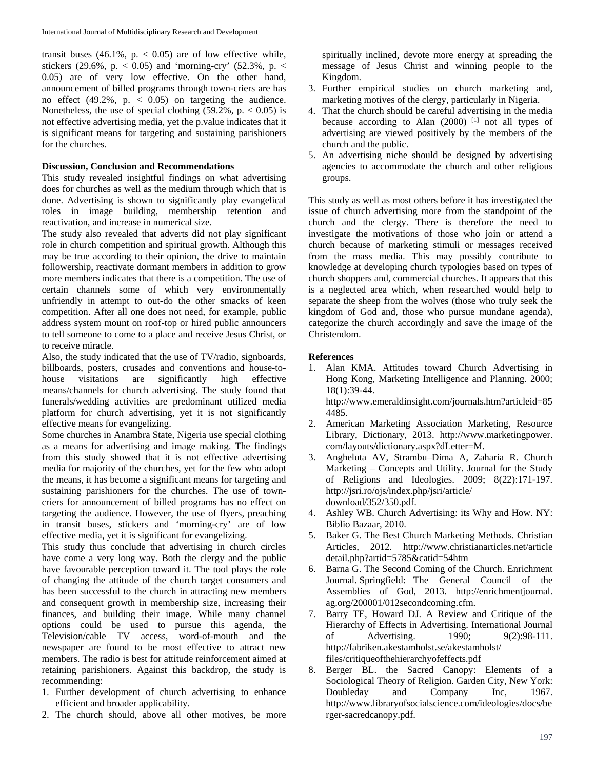transit buses  $(46.1\%, p. < 0.05)$  are of low effective while, stickers (29.6%, p.  $<$  0.05) and 'morning-cry' (52.3%, p.  $<$ 0.05) are of very low effective. On the other hand, announcement of billed programs through town-criers are has no effect  $(49.2\%$ , p.  $(6.05)$  on targeting the audience. Nonetheless, the use of special clothing  $(59.2\%, p. < 0.05)$  is not effective advertising media, yet the p.value indicates that it is significant means for targeting and sustaining parishioners for the churches.

#### **Discussion, Conclusion and Recommendations**

This study revealed insightful findings on what advertising does for churches as well as the medium through which that is done. Advertising is shown to significantly play evangelical roles in image building, membership retention and reactivation, and increase in numerical size.

The study also revealed that adverts did not play significant role in church competition and spiritual growth. Although this may be true according to their opinion, the drive to maintain followership, reactivate dormant members in addition to grow more members indicates that there is a competition. The use of certain channels some of which very environmentally unfriendly in attempt to out-do the other smacks of keen competition. After all one does not need, for example, public address system mount on roof-top or hired public announcers to tell someone to come to a place and receive Jesus Christ, or to receive miracle.

Also, the study indicated that the use of TV/radio, signboards, billboards, posters, crusades and conventions and house-tohouse visitations are significantly high effective means/channels for church advertising. The study found that funerals/wedding activities are predominant utilized media platform for church advertising, yet it is not significantly effective means for evangelizing.

Some churches in Anambra State, Nigeria use special clothing as a means for advertising and image making. The findings from this study showed that it is not effective advertising media for majority of the churches, yet for the few who adopt the means, it has become a significant means for targeting and sustaining parishioners for the churches. The use of towncriers for announcement of billed programs has no effect on targeting the audience. However, the use of flyers, preaching in transit buses, stickers and 'morning-cry' are of low effective media, yet it is significant for evangelizing.

This study thus conclude that advertising in church circles have come a very long way. Both the clergy and the public have favourable perception toward it. The tool plays the role of changing the attitude of the church target consumers and has been successful to the church in attracting new members and consequent growth in membership size, increasing their finances, and building their image. While many channel options could be used to pursue this agenda, the Television/cable TV access, word-of-mouth and the newspaper are found to be most effective to attract new members. The radio is best for attitude reinforcement aimed at retaining parishioners. Against this backdrop, the study is recommending:

- 1. Further development of church advertising to enhance efficient and broader applicability.
- 2. The church should, above all other motives, be more

spiritually inclined, devote more energy at spreading the message of Jesus Christ and winning people to the Kingdom.

- 3. Further empirical studies on church marketing and, marketing motives of the clergy, particularly in Nigeria.
- 4. That the church should be careful advertising in the media because according to Alan (2000) <sup>[1]</sup> not all types of advertising are viewed positively by the members of the church and the public.
- 5. An advertising niche should be designed by advertising agencies to accommodate the church and other religious groups.

This study as well as most others before it has investigated the issue of church advertising more from the standpoint of the church and the clergy. There is therefore the need to investigate the motivations of those who join or attend a church because of marketing stimuli or messages received from the mass media. This may possibly contribute to knowledge at developing church typologies based on types of church shoppers and, commercial churches. It appears that this is a neglected area which, when researched would help to separate the sheep from the wolves (those who truly seek the kingdom of God and, those who pursue mundane agenda), categorize the church accordingly and save the image of the Christendom.

#### **References**

- 1. Alan KMA. Attitudes toward Church Advertising in Hong Kong, Marketing Intelligence and Planning. 2000; 18(1):39-44. http://www.emeraldinsight.com/journals.htm?articleid=85 4485.
- 2. American Marketing Association Marketing, Resource Library, Dictionary, 2013. http://www.marketingpower. com/layouts/dictionary.aspx?dLetter=M.
- 3. Angheluta AV, Strambu–Dima A, Zaharia R. Church Marketing – Concepts and Utility. Journal for the Study of Religions and Ideologies. 2009; 8(22):171-197. http://jsri.ro/ojs/index.php/jsri/article/ download/352/350.pdf.
- 4. Ashley WB. Church Advertising: its Why and How. NY: Biblio Bazaar, 2010.
- 5. Baker G. The Best Church Marketing Methods. Christian Articles, 2012. http://www.christianarticles.net/article detail.php?artid=5785&catid=54htm
- 6. Barna G. The Second Coming of the Church. Enrichment Journal. Springfield: The General Council of the Assemblies of God, 2013. http://enrichmentjournal. ag.org/200001/012secondcoming.cfm.
- 7. Barry TE, Howard DJ. A Review and Critique of the Hierarchy of Effects in Advertising. International Journal of Advertising. 1990; 9(2):98-111. http://fabriken.akestamholst.se/akestamholst/ files/critiqueofthehierarchyofeffects.pdf
- 8. Berger BL. the Sacred Canopy: Elements of a Sociological Theory of Religion. Garden City, New York: Doubleday and Company Inc, 1967. http://www.libraryofsocialscience.com/ideologies/docs/be rger-sacredcanopy.pdf.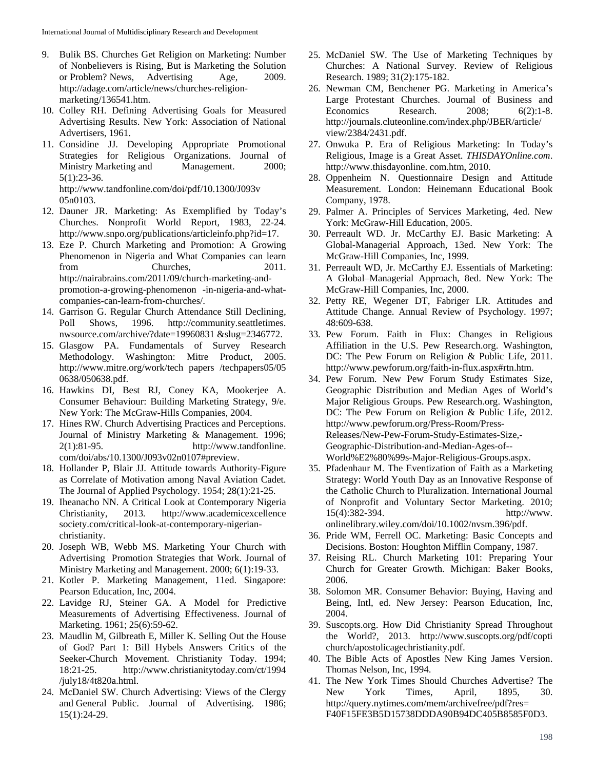- 9. Bulik BS. Churches Get Religion on Marketing: Number of Nonbelievers is Rising, But is Marketing the Solution or Problem? News, Advertising Age, 2009. http://adage.com/article/news/churches-religionmarketing/136541.htm.
- 10. Colley RH. Defining Advertising Goals for Measured Advertising Results. New York: Association of National Advertisers, 1961.
- 11. Considine JJ. Developing Appropriate Promotional Strategies for Religious Organizations. Journal of Ministry Marketing and Management. 2000; 5(1):23-36. http://www.tandfonline.com/doi/pdf/10.1300/J093v 05n0103.
- 12. Dauner JR. Marketing: As Exemplified by Today's Churches. Nonprofit World Report, 1983, 22-24. http://www.snpo.org/publications/articleinfo.php?id=17.
- 13. Eze P. Church Marketing and Promotion: A Growing Phenomenon in Nigeria and What Companies can learn from Churches, 2011. http://nairabrains.com/2011/09/church-marketing-andpromotion-a-growing-phenomenon -in-nigeria-and-whatcompanies-can-learn-from-churches/.
- 14. Garrison G. Regular Church Attendance Still Declining, Poll Shows, 1996. http://community.seattletimes. nwsource.com/archive/?date=19960831 &slug=2346772.
- 15. Glasgow PA. Fundamentals of Survey Research Methodology. Washington: Mitre Product, 2005. http://www.mitre.org/work/tech papers /techpapers05/05 0638/050638.pdf.
- 16. Hawkins DI, Best RJ, Coney KA, Mookerjee A. Consumer Behaviour: Building Marketing Strategy, 9/e. New York: The McGraw-Hills Companies, 2004.
- 17. Hines RW. Church Advertising Practices and Perceptions. Journal of Ministry Marketing & Management. 1996; 2(1):81-95. http://www.tandfonline. com/doi/abs/10.1300/J093v02n0107#preview.
- 18. Hollander P, Blair JJ. Attitude towards Authority-Figure as Correlate of Motivation among Naval Aviation Cadet. The Journal of Applied Psychology. 1954; 28(1):21-25.
- 19. Iheanacho NN. A Critical Look at Contemporary Nigeria Christianity, 2013*.* http://www.academicexcellence society.com/critical-look-at-contemporary-nigerianchristianity.
- 20. Joseph WB, Webb MS. Marketing Your Church with Advertising Promotion Strategies that Work. Journal of Ministry Marketing and Management. 2000; 6(1):19-33.
- 21. Kotler P. Marketing Management, 11ed. Singapore: Pearson Education, Inc, 2004.
- 22. Lavidge RJ, Steiner GA. A Model for Predictive Measurements of Advertising Effectiveness. Journal of Marketing. 1961; 25(6):59-62.
- 23. Maudlin M, Gilbreath E, Miller K. Selling Out the House of God? Part 1: Bill Hybels Answers Critics of the Seeker-Church Movement. Christianity Today. 1994; 18:21-25. http://www.christianitytoday.com/ct/1994 /july18/4t820a.html.
- 24. McDaniel SW. Church Advertising: Views of the Clergy and General Public. Journal of Advertising. 1986; 15(1):24-29.
- 25. McDaniel SW. The Use of Marketing Techniques by Churches: A National Survey. Review of Religious Research. 1989; 31(2):175-182.
- 26. Newman CM, Benchener PG. Marketing in America's Large Protestant Churches. Journal of Business and Economics Research. 2008; 6(2):1-8. http://journals.cluteonline.com/index.php/JBER/article/ view/2384/2431.pdf.
- 27. Onwuka P. Era of Religious Marketing: In Today's Religious, Image is a Great Asset. *THISDAYOnline.com*. http://www.thisdayonline. com.htm, 2010.
- 28. Oppenheim N. Questionnaire Design and Attitude Measurement. London: Heinemann Educational Book Company, 1978.
- 29. Palmer A. Principles of Services Marketing, 4ed. New York: McGraw-Hill Education, 2005.
- 30. Perreault WD. Jr. McCarthy EJ. Basic Marketing: A Global-Managerial Approach, 13ed. New York: The McGraw-Hill Companies, Inc, 1999.
- 31. Perreault WD, Jr. McCarthy EJ. Essentials of Marketing: A Global–Managerial Approach, 8ed. New York: The McGraw-Hill Companies, Inc, 2000.
- 32. Petty RE, Wegener DT, Fabriger LR. Attitudes and Attitude Change. Annual Review of Psychology. 1997; 48:609-638.
- 33. Pew Forum. Faith in Flux: Changes in Religious Affiliation in the U.S. Pew Research.org. Washington, DC: The Pew Forum on Religion & Public Life, 2011. http://www.pewforum.org/faith-in-flux.aspx#rtn.htm.
- 34. Pew Forum. New Pew Forum Study Estimates Size, Geographic Distribution and Median Ages of World's Major Religious Groups. Pew Research.org. Washington, DC: The Pew Forum on Religion & Public Life, 2012. http://www.pewforum.org/Press-Room/Press-Releases/New-Pew-Forum-Study-Estimates-Size,- Geographic-Distribution-and-Median-Ages-of-- World%E2%80%99s-Major-Religious-Groups.aspx.
- 35. Pfadenhaur M. The Eventization of Faith as a Marketing Strategy: World Youth Day as an Innovative Response of the Catholic Church to Pluralization. International Journal of Nonprofit and Voluntary Sector Marketing. 2010; 15(4):382-394. http://www. onlinelibrary.wiley.com/doi/10.1002/nvsm.396/pdf.
- 36. Pride WM, Ferrell OC. Marketing: Basic Concepts and Decisions. Boston: Houghton Mifflin Company, 1987.
- 37. Reising RL. Church Marketing 101: Preparing Your Church for Greater Growth. Michigan: Baker Books, 2006.
- 38. Solomon MR. Consumer Behavior: Buying, Having and Being, Intl, ed. New Jersey: Pearson Education, Inc, 2004.
- 39. Suscopts.org. How Did Christianity Spread Throughout the World?, 2013. http://www.suscopts.org/pdf/copti church/apostolicagechristianity.pdf.
- 40. The Bible Acts of Apostles New King James Version. Thomas Nelson, Inc, 1994.
- 41. The New York Times Should Churches Advertise? The New York Times, April, 1895, 30. http://query.nytimes.com/mem/archivefree/pdf?res= F40F15FE3B5D15738DDDA90B94DC405B8585F0D3.